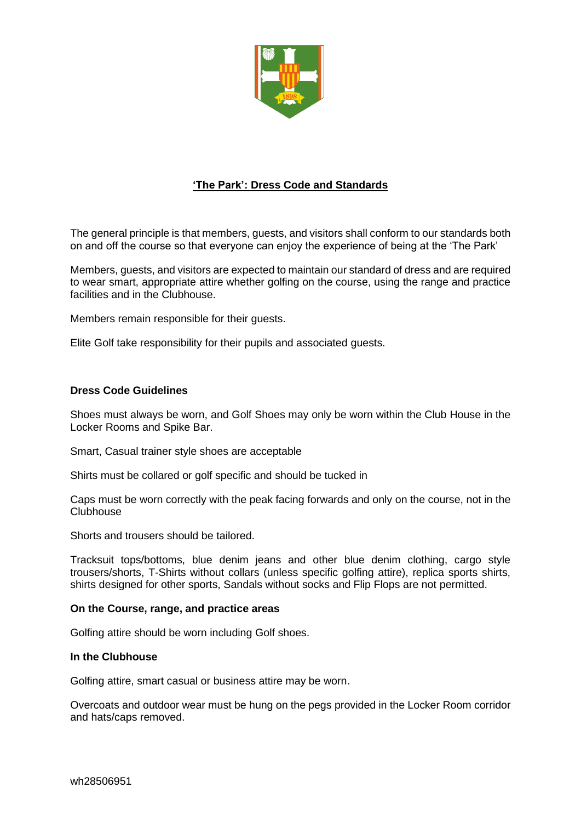

# **'The Park': Dress Code and Standards**

The general principle is that members, guests, and visitors shall conform to our standards both on and off the course so that everyone can enjoy the experience of being at the 'The Park'

Members, guests, and visitors are expected to maintain our standard of dress and are required to wear smart, appropriate attire whether golfing on the course, using the range and practice facilities and in the Clubhouse.

Members remain responsible for their guests.

Elite Golf take responsibility for their pupils and associated guests.

# **Dress Code Guidelines**

Shoes must always be worn, and Golf Shoes may only be worn within the Club House in the Locker Rooms and Spike Bar.

Smart, Casual trainer style shoes are acceptable

Shirts must be collared or golf specific and should be tucked in

Caps must be worn correctly with the peak facing forwards and only on the course, not in the Clubhouse

Shorts and trousers should be tailored.

Tracksuit tops/bottoms, blue denim jeans and other blue denim clothing, cargo style trousers/shorts, T-Shirts without collars (unless specific golfing attire), replica sports shirts, shirts designed for other sports, Sandals without socks and Flip Flops are not permitted.

# **On the Course, range, and practice areas**

Golfing attire should be worn including Golf shoes.

## **In the Clubhouse**

Golfing attire, smart casual or business attire may be worn.

Overcoats and outdoor wear must be hung on the pegs provided in the Locker Room corridor and hats/caps removed.